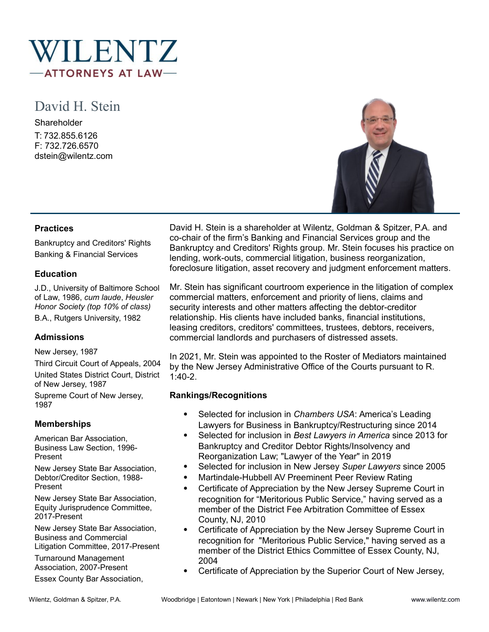

# David H. Stein

**Shareholder** T: 732.855.6126 F: 732.726.6570 dstein@wilentz.com



#### **Practices**

Bankruptcy and Creditors' Rights Banking & Financial Services

#### **Education**

J.D., University of Baltimore School of Law, 1986, *cum laude*, *Heusler Honor Society (top 10% of class)* B.A., Rutgers University, 1982

# **Admissions**

New Jersey, 1987

Third Circuit Court of Appeals, 2004 United States District Court, District of New Jersey, 1987 Supreme Court of New Jersey, 1987

# **Memberships**

American Bar Association, Business Law Section, 1996- Present

New Jersey State Bar Association, Debtor/Creditor Section, 1988- Present

New Jersey State Bar Association, Equity Jurisprudence Committee, 2017-Present

New Jersey State Bar Association, Business and Commercial Litigation Committee, 2017-Present

Turnaround Management Association, 2007-Present

Essex County Bar Association,

David H. Stein is a shareholder at Wilentz, Goldman & Spitzer, P.A. and co-chair of the firm's Banking and Financial Services group and the Bankruptcy and Creditors' Rights group. Mr. Stein focuses his practice on lending, work-outs, commercial litigation, business reorganization, foreclosure litigation, asset recovery and judgment enforcement matters.

Mr. Stein has significant courtroom experience in the litigation of complex commercial matters, enforcement and priority of liens, claims and security interests and other matters affecting the debtor-creditor relationship. His clients have included banks, financial institutions, leasing creditors, creditors' committees, trustees, debtors, receivers, commercial landlords and purchasers of distressed assets.

In 2021, Mr. Stein was appointed to the Roster of Mediators maintained by the New Jersey Administrative Office of the Courts pursuant to R. 1:40-2.

# **Rankings/Recognitions**

- Selected for inclusion in *Chambers USA*: America's Leading Lawyers for Business in Bankruptcy/Restructuring since 2014
- Selected for inclusion in *Best Lawyers in America* since 2013 for Bankruptcy and Creditor Debtor Rights/Insolvency and Reorganization Law; "Lawyer of the Year" in 2019
- Selected for inclusion in New Jersey *Super Lawyers* since 2005
- Martindale-Hubbell AV Preeminent Peer Review Rating
- Certificate of Appreciation by the New Jersey Supreme Court in recognition for "Meritorious Public Service," having served as a member of the District Fee Arbitration Committee of Essex County, NJ, 2010
- Certificate of Appreciation by the New Jersey Supreme Court in recognition for "Meritorious Public Service," having served as a member of the District Ethics Committee of Essex County, NJ, 2004
- Certificate of Appreciation by the Superior Court of New Jersey,